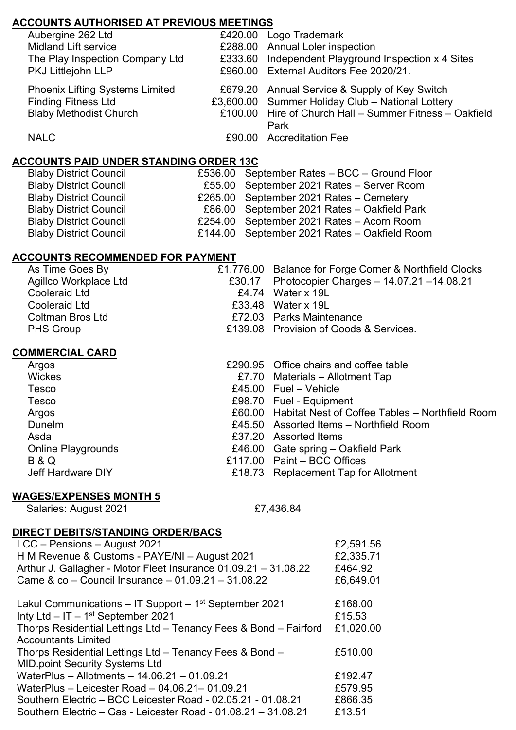# **ACCOUNTS AUTHORISED AT PREVIOUS MEETINGS**

| Aubergine 262 Ltd                      | £420.00 Logo Trademark                                  |
|----------------------------------------|---------------------------------------------------------|
| <b>Midland Lift service</b>            | £288.00 Annual Loler inspection                         |
| The Play Inspection Company Ltd        | £333.60 Independent Playground Inspection x 4 Sites     |
| PKJ Littlejohn LLP                     | £960.00 External Auditors Fee 2020/21.                  |
| <b>Phoenix Lifting Systems Limited</b> | £679.20 Annual Service & Supply of Key Switch           |
| <b>Finding Fitness Ltd</b>             | £3,600.00 Summer Holiday Club - National Lottery        |
| <b>Blaby Methodist Church</b>          | £100.00 Hire of Church Hall - Summer Fitness - Oakfield |
|                                        | Park                                                    |
| <b>NALC</b>                            | £90.00 Accreditation Fee                                |
|                                        |                                                         |

### **ACCOUNTS PAID UNDER STANDING ORDER 13C**

| £536.00 September Rates - BCC - Ground Floor |
|----------------------------------------------|
| £55.00 September 2021 Rates - Server Room    |
| £265.00 September 2021 Rates - Cemetery      |
| £86.00 September 2021 Rates - Oakfield Park  |
| £254.00 September 2021 Rates - Acorn Room    |
| £144.00 September 2021 Rates - Oakfield Room |
|                                              |

## **ACCOUNTS RECOMMENDED FOR PAYMENT**

|        | £1,776.00 Balance for Forge Corner & Northfield Clocks |
|--------|--------------------------------------------------------|
| £30.17 | Photocopier Charges $-$ 14.07.21 $-$ 14.08.21          |
|        | £4.74 Water $x$ 19L                                    |
|        | £33.48 Water x 19L                                     |
|        | £72.03 Parks Maintenance                               |
|        | £139.08 Provision of Goods & Services.                 |
|        |                                                        |
|        | £290.95 Office chairs and coffee table                 |
|        | £7.70 Materials – Allotment Tap                        |
|        | £45.00 $Fuel - Vehicle$                                |
|        | £98.70 Fuel - Equipment                                |
|        | £60.00 Habitat Nest of Coffee Tables – Northfield Room |
|        | £45.50 Assorted Items – Northfield Room                |
|        | £37.20 Assorted Items                                  |
|        | £46.00 Gate spring – Oakfield Park                     |
|        | £117.00 Paint - BCC Offices                            |
|        | £18.73 Replacement Tap for Allotment                   |
|        |                                                        |
|        |                                                        |

### **WAGES/EXPENSES MONTH 5**

|  | Salaries: August 2021 |
|--|-----------------------|
|--|-----------------------|

£7,436.84

### **DIRECT DEBITS/STANDING ORDER/BACS**

| LCC - Pensions - August 2021                                           | £2,591.56 |
|------------------------------------------------------------------------|-----------|
| H M Revenue & Customs - PAYE/NI - August 2021                          | £2,335.71 |
| Arthur J. Gallagher - Motor Fleet Insurance 01.09.21 - 31.08.22        | £464.92   |
| Came & co - Council Insurance - 01.09.21 - 31.08.22                    | £6,649.01 |
| Lakul Communications $-$ IT Support $-$ 1 <sup>st</sup> September 2021 | £168.00   |
| Inty Ltd $-$ IT $-$ 1 <sup>st</sup> September 2021                     | £15.53    |
| Thorps Residential Lettings Ltd - Tenancy Fees & Bond - Fairford       | £1,020.00 |
| <b>Accountants Limited</b>                                             |           |
| Thorps Residential Lettings Ltd - Tenancy Fees & Bond -                | £510.00   |
| <b>MID.point Security Systems Ltd</b>                                  |           |
| WaterPlus - Allotments - 14.06.21 - 01.09.21                           | £192.47   |
| WaterPlus - Leicester Road - 04.06.21 - 01.09.21                       | £579.95   |
| Southern Electric - BCC Leicester Road - 02.05.21 - 01.08.21           | £866.35   |
| Southern Electric - Gas - Leicester Road - 01.08.21 - 31.08.21         | £13.51    |